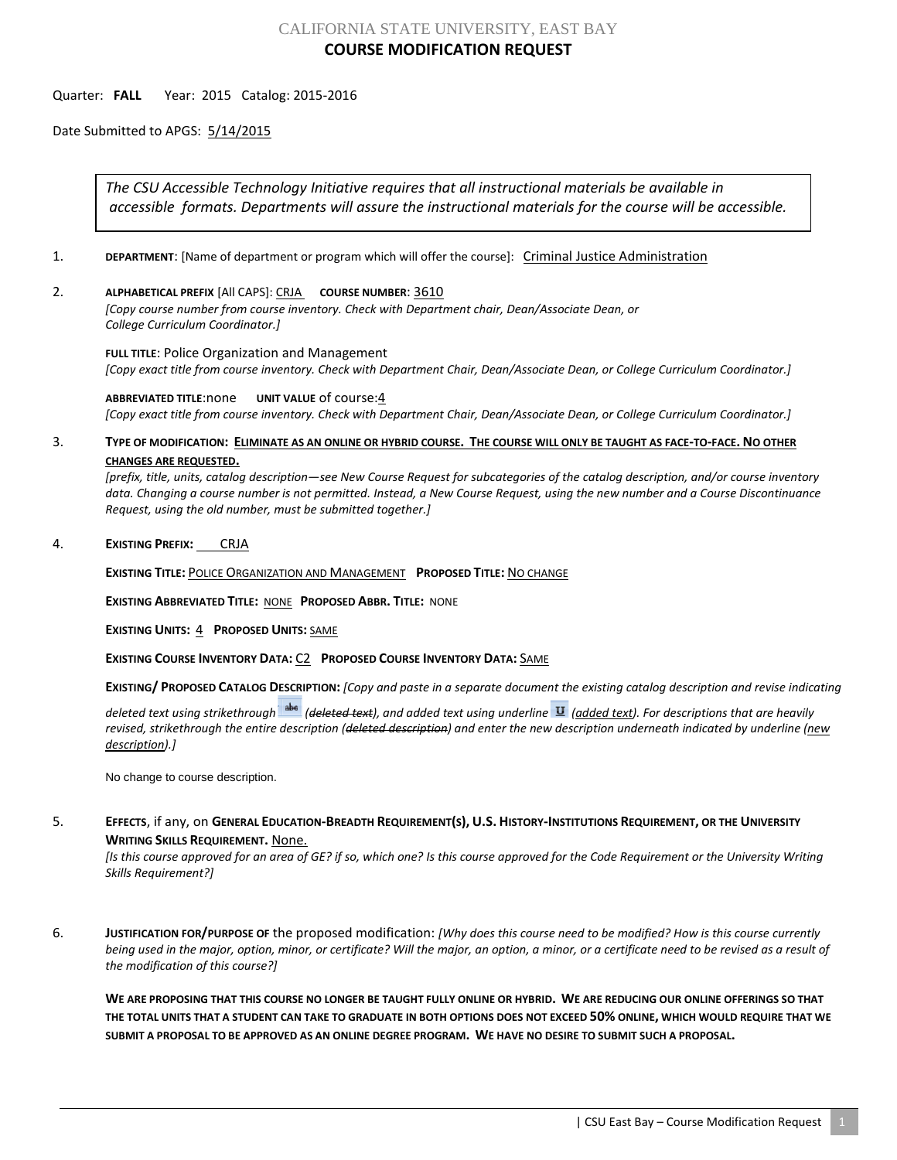## CALIFORNIA STATE UNIVERSITY, EAST BAY **COURSE MODIFICATION REQUEST**

## Quarter: **FALL** Year: 2015 Catalog: 2015-2016

Date Submitted to APGS: 5/14/2015

*The CSU Accessible Technology Initiative requires that all instructional materials be available in accessible formats. Departments will assure the instructional materials for the course will be accessible.*

- 1. **DEPARTMENT**: [Name of department or program which will offer the course]: Criminal Justice Administration
- 2. **ALPHABETICAL PREFIX** [All CAPS]: CRJA **COURSE NUMBER**: 3610

*[Copy course number from course inventory. Check with Department chair, Dean/Associate Dean, or College Curriculum Coordinator.]* 

**FULL TITLE**: Police Organization and Management *[Copy exact title from course inventory. Check with Department Chair, Dean/Associate Dean, or College Curriculum Coordinator.]*

**ABBREVIATED TITLE**:none **UNIT VALUE** of course:4 *[Copy exact title from course inventory. Check with Department Chair, Dean/Associate Dean, or College Curriculum Coordinator.]*

## 3. **TYPE OF MODIFICATION: ELIMINATE AS AN ONLINE OR HYBRID COURSE. THE COURSE WILL ONLY BE TAUGHT AS FACE-TO-FACE. NO OTHER CHANGES ARE REQUESTED.**

*[prefix, title, units, catalog description—see New Course Request for subcategories of the catalog description, and/or course inventory data. Changing a course number is not permitted. Instead, a New Course Request, using the new number and a Course Discontinuance Request, using the old number, must be submitted together.]*

4. **EXISTING PREFIX:** CRJA

**EXISTING TITLE:** POLICE ORGANIZATION AND MANAGEMENT **PROPOSED TITLE:** NO CHANGE

**EXISTING ABBREVIATED TITLE:** NONE **PROPOSED ABBR. TITLE:** NONE

**EXISTING UNITS:** 4 **PROPOSED UNITS:** SAME

**EXISTING COURSE INVENTORY DATA:** C2 **PROPOSED COURSE INVENTORY DATA:** SAME

**EXISTING/ PROPOSED CATALOG DESCRIPTION:** *[Copy and paste in a separate document the existing catalog description and revise indicating* 

*deleted text using strikethrough (deleted text), and added text using underline (added text). For descriptions that are heavily revised, strikethrough the entire description (deleted description) and enter the new description underneath indicated by underline (new description).]*

No change to course description.

5. **EFFECTS**, if any, on **GENERAL EDUCATION-BREADTH REQUIREMENT(S), U.S. HISTORY-INSTITUTIONS REQUIREMENT, OR THE UNIVERSITY WRITING SKILLS REQUIREMENT.** None.

*[Is this course approved for an area of GE? if so, which one? Is this course approved for the Code Requirement or the University Writing Skills Requirement?]*

6. **JUSTIFICATION FOR/PURPOSE OF** the proposed modification: *[Why does this course need to be modified? How is this course currently being used in the major, option, minor, or certificate? Will the major, an option, a minor, or a certificate need to be revised as a result of the modification of this course?]*

**WE ARE PROPOSING THAT THIS COURSE NO LONGER BE TAUGHT FULLY ONLINE OR HYBRID. WE ARE REDUCING OUR ONLINE OFFERINGS SO THAT THE TOTAL UNITS THAT A STUDENT CAN TAKE TO GRADUATE IN BOTH OPTIONS DOES NOT EXCEED 50% ONLINE, WHICH WOULD REQUIRE THAT WE SUBMIT A PROPOSAL TO BE APPROVED AS AN ONLINE DEGREE PROGRAM. WE HAVE NO DESIRE TO SUBMIT SUCH A PROPOSAL.**